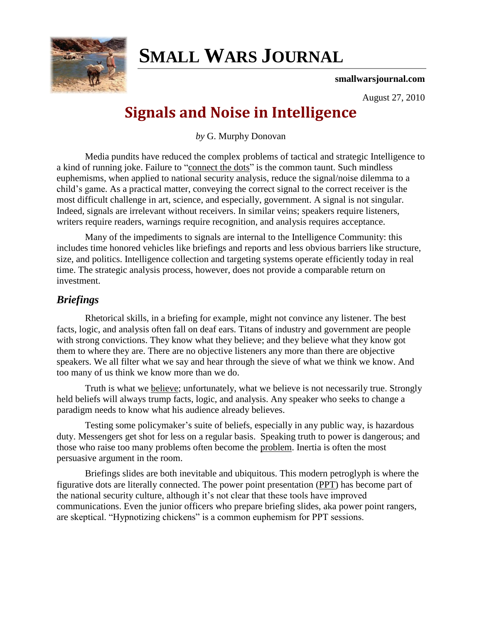

# **SMALL WARS JOURNAL**

**smallwarsjournal.com**

August 27, 2010

## **Signals and Noise in Intelligence**

*by* G. Murphy Donovan

Media pundits have reduced the complex problems of tactical and strategic Intelligence to a kind of running joke. Failure to "connect the dots" is the common taunt. Such mindless euphemisms, when applied to national security analysis, reduce the signal/noise dilemma to a child's game. As a practical matter, conveying the correct signal to the correct receiver is the most difficult challenge in art, science, and especially, government. A signal is not singular. Indeed, signals are irrelevant without receivers. In similar veins; speakers require listeners, writers require readers, warnings require recognition, and analysis requires acceptance.

Many of the impediments to signals are internal to the Intelligence Community: this includes time honored vehicles like briefings and reports and less obvious barriers like structure, size, and politics. Intelligence collection and targeting systems operate efficiently today in real time. The strategic analysis process, however, does not provide a comparable return on investment.

### *Briefings*

Rhetorical skills, in a briefing for example, might not convince any listener. The best facts, logic, and analysis often fall on deaf ears. Titans of industry and government are people with strong convictions. They know what they believe; and they believe what they know got them to where they are. There are no objective listeners any more than there are objective speakers. We all filter what we say and hear through the sieve of what we think we know. And too many of us think we know more than we do.

Truth is what we [believe;](http://www.peirce.org/writings/p107.html) unfortunately, what we believe is not necessarily true. Strongly held beliefs will always trump facts, logic, and analysis. Any speaker who seeks to change a paradigm needs to know what his audience already believes.

Testing some policymaker's suite of beliefs, especially in any public way, is hazardous duty. Messengers get shot for less on a regular basis. Speaking truth to power is dangerous; and those who raise too many problems often become the [problem.](http://washingtonindependent.com/66037/galbraith-abdullah-did-the-right-thing-in-a-total-fiasco) Inertia is often the most persuasive argument in the room.

Briefings slides are both inevitable and ubiquitous. This modern petroglyph is where the figurative dots are literally connected. The power point presentation [\(PPT\)](http://www.nytimes.com/2010/04/27/world/27powerpoint.html?src=twt&twt=nytimes) has become part of the national security culture, although it's not clear that these tools have improved communications. Even the junior officers who prepare briefing slides, aka power point rangers, are skeptical. "Hypnotizing chickens" is a common euphemism for PPT sessions.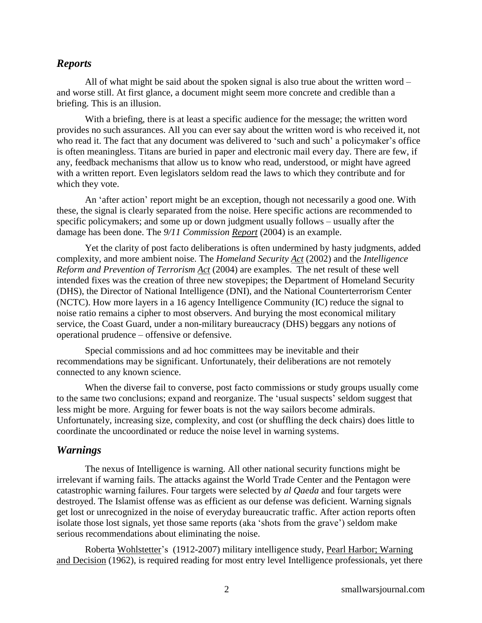#### *Reports*

All of what might be said about the spoken signal is also true about the written word – and worse still. At first glance, a document might seem more concrete and credible than a briefing. This is an illusion.

With a briefing, there is at least a specific audience for the message; the written word provides no such assurances. All you can ever say about the written word is who received it, not who read it. The fact that any document was delivered to 'such and such' a policymaker's office is often meaningless. Titans are buried in paper and electronic mail every day. There are few, if any, feedback mechanisms that allow us to know who read, understood, or might have agreed with a written report. Even legislators seldom read the laws to which they contribute and for which they vote.

An 'after action' report might be an exception, though not necessarily a good one. With these, the signal is clearly separated from the noise. Here specific actions are recommended to specific policymakers; and some up or down judgment usually follows – usually after the damage has been done. The *9/11 Commission [Report](http://www.9-11commission.gov/)* (2004) is an example.

Yet the clarity of post facto deliberations is often undermined by hasty judgments, added complexity, and more ambient noise. The *Homeland Security [Act](http://www.dhs.gov/xlibrary/assets/hr_5005_enr.pdf)* (2002) and the *Intelligence Reform and Prevention of Terrorism [Act](http://www.nctc.gov/docs/pl108_458.pdf)* (2004) are examples. The net result of these well intended fixes was the creation of three new stovepipes; the Department of Homeland Security (DHS), the Director of National Intelligence (DNI), and the National Counterterrorism Center (NCTC). How more layers in a 16 agency Intelligence Community (IC) reduce the signal to noise ratio remains a cipher to most observers. And burying the most economical military service, the Coast Guard, under a non-military bureaucracy (DHS) beggars any notions of operational prudence – offensive or defensive.

Special commissions and ad hoc committees may be inevitable and their recommendations may be significant. Unfortunately, their deliberations are not remotely connected to any known science.

When the diverse fail to converse, post facto commissions or study groups usually come to the same two conclusions; expand and reorganize. The 'usual suspects' seldom suggest that less might be more. Arguing for fewer boats is not the way sailors become admirals. Unfortunately, increasing size, complexity, and cost (or shuffling the deck chairs) does little to coordinate the uncoordinated or reduce the noise level in warning systems.

#### *Warnings*

The nexus of Intelligence is warning. All other national security functions might be irrelevant if warning fails. The attacks against the World Trade Center and the Pentagon were catastrophic warning failures. Four targets were selected by *al Qaeda* and four targets were destroyed. The Islamist offense was as efficient as our defense was deficient. Warning signals get lost or unrecognized in the noise of everyday bureaucratic traffic. After action reports often isolate those lost signals, yet those same reports (aka 'shots from the grave') seldom make serious recommendations about eliminating the noise.

Roberta [Wohlstetter'](http://www.nytimes.com/2007/01/11/obituaries/11wohlstetter.html)s (1912-2007) military intelligence study, Pearl Harbor; Warning and Decision (1962), is required reading for most entry level Intelligence professionals, yet there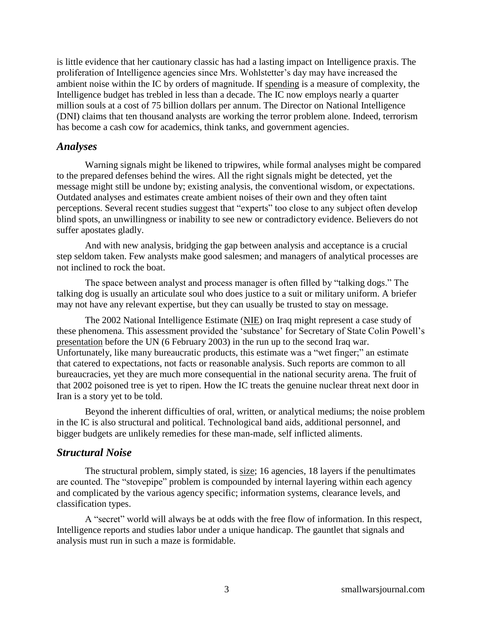is little evidence that her cautionary classic has had a lasting impact on Intelligence praxis. The proliferation of Intelligence agencies since Mrs. Wohlstetter's day may have increased the ambient noise within the IC by orders of magnitude. If [spending](http://www.washingtonpost.com/wp-dyn/content/article/2009/09/16/AR2009091603208.html) is a measure of complexity, the Intelligence budget has trebled in less than a decade. The IC now employs nearly a quarter million souls at a cost of 75 billion dollars per annum. The Director on National Intelligence (DNI) claims that ten thousand analysts are working the terror problem alone. Indeed, terrorism has become a cash cow for academics, think tanks, and government agencies.

#### *Analyses*

Warning signals might be likened to tripwires, while formal analyses might be compared to the prepared defenses behind the wires. All the right signals might be detected, yet the message might still be undone by; existing analysis, the conventional wisdom, or expectations. Outdated analyses and estimates create ambient noises of their own and they often taint perceptions. Several recent studies suggest that "experts" too close to any subject often develop blind spots, an unwillingness or inability to see new or contradictory evidence. Believers do not suffer apostates gladly.

And with new analysis, bridging the gap between analysis and acceptance is a crucial step seldom taken. Few analysts make good salesmen; and managers of analytical processes are not inclined to rock the boat.

The space between analyst and process manager is often filled by "talking dogs." The talking dog is usually an articulate soul who does justice to a suit or military uniform. A briefer may not have any relevant expertise, but they can usually be trusted to stay on message.

The 2002 National Intelligence Estimate [\(NIE\)](http://www.fas.org/irp/congress/2003_cr/h072103.html) on Iraq might represent a case study of these phenomena. This assessment provided the 'substance' for Secretary of State Colin Powell's [presentation](http://www.cnn.com/2003/US/02/05/sprj.irq.powell.transcript/) before the UN (6 February 2003) in the run up to the second Iraq war. Unfortunately, like many bureaucratic products, this estimate was a "wet finger;" an estimate that catered to expectations, not facts or reasonable analysis. Such reports are common to all bureaucracies, yet they are much more consequential in the national security arena. The fruit of that 2002 poisoned tree is yet to ripen. How the IC treats the genuine nuclear threat next door in Iran is a story yet to be told.

Beyond the inherent difficulties of oral, written, or analytical mediums; the noise problem in the IC is also structural and political. Technological band aids, additional personnel, and bigger budgets are unlikely remedies for these man-made, self inflicted aliments.

#### *Structural Noise*

The structural problem, simply stated, is [size;](http://www.intelligence.gov/about-the-intelligence-community/) 16 agencies, 18 layers if the penultimates are counted. The "stovepipe" problem is compounded by internal layering within each agency and complicated by the various agency specific; information systems, clearance levels, and classification types.

A "secret" world will always be at odds with the free flow of information. In this respect, Intelligence reports and studies labor under a unique handicap. The gauntlet that signals and analysis must run in such a maze is formidable.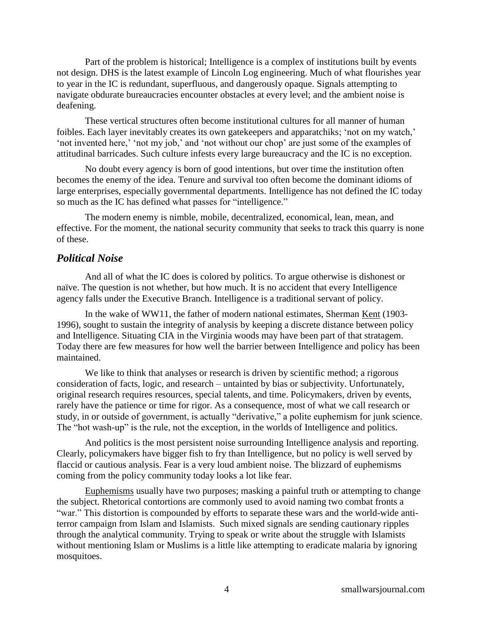Part of the problem is historical; Intelligence is a complex of institutions built by events not design. DHS is the latest example of Lincoln Log engineering. Much of what flourishes year to year in the IC is redundant, superfluous, and dangerously opaque. Signals attempting to navigate obdurate bureaucracies encounter obstacles at every level; and the ambient noise is deafening.

These vertical structures often become institutional cultures for all manner of human foibles. Each layer inevitably creates its own gatekeepers and apparatchiks; ‗not on my watch,' ‗not invented here,' ‗not my job,' and ‗not without our chop' are just some of the examples of attitudinal barricades. Such culture infests every large bureaucracy and the IC is no exception.

No doubt every agency is born of good intentions, but over time the institution often becomes the enemy of the idea. Tenure and survival too often become the dominant idioms of large enterprises, especially governmental departments. Intelligence has not defined the IC today so much as the IC has defined what passes for "intelligence."

The modern enemy is nimble, mobile, decentralized, economical, lean, mean, and effective. For the moment, the national security community that seeks to track this quarry is none of these.

#### *Political Noise*

And all of what the IC does is colored by politics. To argue otherwise is dishonest or naïve. The question is not whether, but how much. It is no accident that every Intelligence agency falls under the Executive Branch. Intelligence is a traditional servant of policy.

In the wake of WW11, the father of modern national estimates, Sherman [Kent](https://www.cia.gov/library/center-for-the-study-of-intelligence/csi-publications/books-and-monographs/sherman-kent-and-the-board-of-national-estimates-collected-essays/1tribute.html) (1903- 1996), sought to sustain the integrity of analysis by keeping a discrete distance between policy and Intelligence. Situating CIA in the Virginia woods may have been part of that stratagem. Today there are few measures for how well the barrier between Intelligence and policy has been maintained.

We like to think that analyses or research is driven by scientific method; a rigorous consideration of facts, logic, and research – untainted by bias or subjectivity. Unfortunately, original research requires resources, special talents, and time. Policymakers, driven by events, rarely have the patience or time for rigor. As a consequence, most of what we call research or study, in or outside of government, is actually "derivative," a polite euphemism for junk science. The "hot wash-up" is the rule, not the exception, in the worlds of Intelligence and politics.

And politics is the most persistent noise surrounding Intelligence analysis and reporting. Clearly, policymakers have bigger fish to fry than Intelligence, but no policy is well served by flaccid or cautious analysis. Fear is a very loud ambient noise. The blizzard of euphemisms coming from the policy community today looks a lot like fear.

[Euphemisms](http://pajamasmedia.com/rogerlsimon/2010/01/03/the-terror-war-and-the-double-euphemism/) usually have two purposes; masking a painful truth or attempting to change the subject. Rhetorical contortions are commonly used to avoid naming two combat fronts a "war." This distortion is compounded by efforts to separate these wars and the world-wide antiterror campaign from Islam and Islamists. Such mixed signals are sending cautionary ripples through the analytical community. Trying to speak or write about the struggle with Islamists without mentioning Islam or Muslims is a little like attempting to eradicate malaria by ignoring mosquitoes.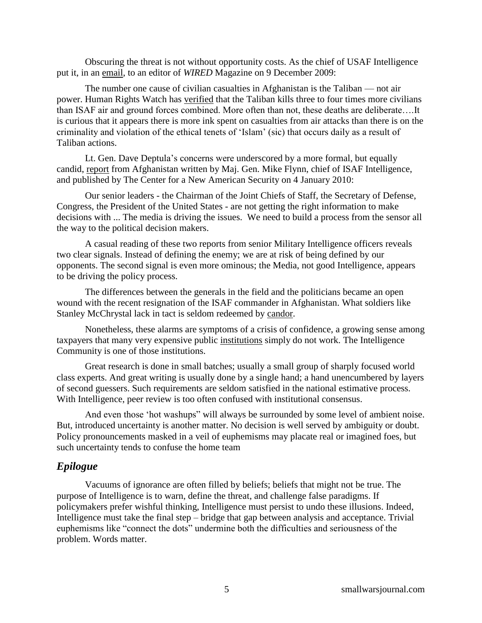Obscuring the threat is not without opportunity costs. As the chief of USAF Intelligence put it, in an [email,](http://www.wired.com/dangerroom/2009/12/us-general-blame-taliban-media-for-afghan-civilian-deaths/) to an editor of *WIRED* Magazine on 9 December 2009:

The number one cause of civilian casualties in Afghanistan is the Taliban — not air power. Human Rights Watch has [verified](http://www.hrw.org/en/reports/2008/09/08/troops-contact-0) that the Taliban kills three to four times more civilians than ISAF air and ground forces combined. More often than not, these deaths are deliberate….It is curious that it appears there is more ink spent on casualties from air attacks than there is on the criminality and violation of the ethical tenets of 'Islam' (sic) that occurs daily as a result of Taliban actions.

Lt. Gen. Dave Deptula's concerns were underscored by a more formal, but equally candid, [report](http://www.cnas.org/files/documents/publications/AfghanIntel_Flynn_Jan2010_code507_voices.pdf) from Afghanistan written by Maj. Gen. Mike Flynn, chief of ISAF Intelligence, and published by The Center for a New American Security on 4 January 2010:

Our senior leaders - the Chairman of the Joint Chiefs of Staff, the Secretary of Defense, Congress, the President of the United States - are not getting the right information to make decisions with ... The media is driving the issues. We need to build a process from the sensor all the way to the political decision makers.

A casual reading of these two reports from senior Military Intelligence officers reveals two clear signals. Instead of defining the enemy; we are at risk of being defined by our opponents. The second signal is even more ominous; the Media, not good Intelligence, appears to be driving the policy process.

The differences between the generals in the field and the politicians became an open wound with the recent resignation of the ISAF commander in Afghanistan. What soldiers like Stanley McChrystal lack in tact is seldom redeemed by [candor.](http://www.americanthinker.com/2010/06/who_betrays_us.html)

Nonetheless, these alarms are symptoms of a crisis of confidence, a growing sense among taxpayers that many very expensive public [institutions](http://www.washingtonpost.com/wp-dyn/content/article/2010/02/10/AR2010021004708.html) simply do not work. The Intelligence Community is one of those institutions.

Great research is done in small batches; usually a small group of sharply focused world class experts. And great writing is usually done by a single hand; a hand unencumbered by layers of second guessers. Such requirements are seldom satisfied in the national estimative process. With Intelligence, peer review is too often confused with institutional consensus.

And even those 'hot washups'' will always be surrounded by some level of ambient noise. But, introduced uncertainty is another matter. No decision is well served by ambiguity or doubt. Policy pronouncements masked in a veil of euphemisms may placate real or imagined foes, but such uncertainty tends to confuse the home team

#### *Epilogue*

Vacuums of ignorance are often filled by beliefs; beliefs that might not be true. The purpose of Intelligence is to warn, define the threat, and challenge false paradigms. If policymakers prefer wishful thinking, Intelligence must persist to undo these illusions. Indeed, Intelligence must take the final step – bridge that gap between analysis and acceptance. Trivial euphemisms like "connect the dots" undermine both the difficulties and seriousness of the problem. Words matter.